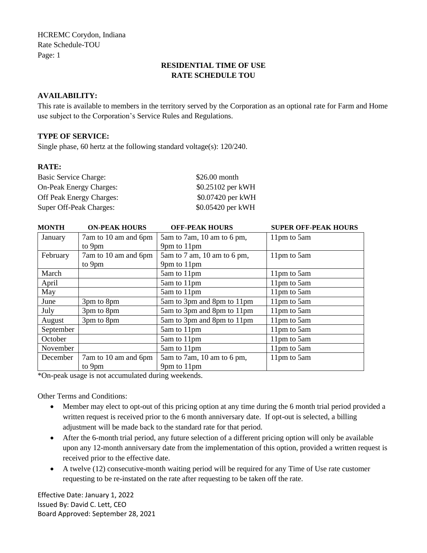HCREMC Corydon, Indiana Rate Schedule-TOU Page: 1

# **RESIDENTIAL TIME OF USE RATE SCHEDULE TOU**

## **AVAILABILITY:**

This rate is available to members in the territory served by the Corporation as an optional rate for Farm and Home use subject to the Corporation's Service Rules and Regulations.

#### **TYPE OF SERVICE:**

Single phase, 60 hertz at the following standard voltage(s): 120/240.

### **RATE:**

| <b>Basic Service Charge:</b>    | $$26.00$ month    |
|---------------------------------|-------------------|
| <b>On-Peak Energy Charges:</b>  | \$0.25102 per kWH |
| <b>Off Peak Energy Charges:</b> | \$0.07420 per kWH |
| Super Off-Peak Charges:         | \$0.05420 per kWH |

| <b>MONTH</b> | <b>ON-PEAK HOURS</b> | <b>OFF-PEAK HOURS</b>       | <b>SUPER OFF-PEAK HOURS</b> |
|--------------|----------------------|-----------------------------|-----------------------------|
| January      | 7am to 10 am and 6pm | 5am to 7am, 10 am to 6 pm,  | 11pm to 5am                 |
|              | to 9pm               | 9pm to 11pm                 |                             |
| February     | 7am to 10 am and 6pm | 5am to 7 am, 10 am to 6 pm, | 11pm to 5am                 |
|              | to 9pm               | 9pm to 11pm                 |                             |
| March        |                      | 5am to 11pm                 | 11pm to 5am                 |
| April        |                      | 5am to 11pm                 | 11pm to 5am                 |
| May          |                      | 5am to 11pm                 | 11pm to 5am                 |
| June         | 3pm to 8pm           | 5am to 3pm and 8pm to 11pm  | 11pm to 5am                 |
| July         | 3pm to 8pm           | 5am to 3pm and 8pm to 11pm  | 11pm to 5am                 |
| August       | 3pm to 8pm           | 5am to 3pm and 8pm to 11pm  | 11pm to 5am                 |
| September    |                      | 5am to 11pm                 | 11pm to 5am                 |
| October      |                      | 5am to 11pm                 | 11pm to 5am                 |
| November     |                      | 5am to 11pm                 | 11pm to 5am                 |
| December     | 7am to 10 am and 6pm | 5am to 7am, 10 am to 6 pm,  | 11pm to 5am                 |
|              | to 9pm               | 9pm to 11pm                 |                             |

\*On-peak usage is not accumulated during weekends.

Other Terms and Conditions:

- Member may elect to opt-out of this pricing option at any time during the 6 month trial period provided a written request is received prior to the 6 month anniversary date. If opt-out is selected, a billing adjustment will be made back to the standard rate for that period.
- After the 6-month trial period, any future selection of a different pricing option will only be available upon any 12-month anniversary date from the implementation of this option, provided a written request is received prior to the effective date.
- A twelve (12) consecutive-month waiting period will be required for any Time of Use rate customer requesting to be re-instated on the rate after requesting to be taken off the rate.

Effective Date: January 1, 2022 Issued By: David C. Lett, CEO Board Approved: September 28, 2021